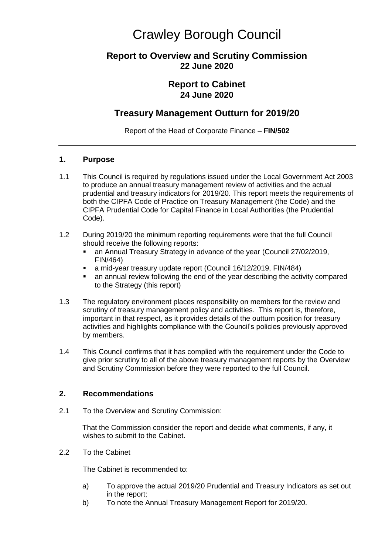# Crawley Borough Council

## **Report to Overview and Scrutiny Commission 22 June 2020**

## **Report to Cabinet 24 June 2020**

## **Treasury Management Outturn for 2019/20**

Report of the Head of Corporate Finance – **FIN/502**

#### **1. Purpose**

- 1.1 This Council is required by regulations issued under the Local Government Act 2003 to produce an annual treasury management review of activities and the actual prudential and treasury indicators for 2019/20. This report meets the requirements of both the CIPFA Code of Practice on Treasury Management (the Code) and the CIPFA Prudential Code for Capital Finance in Local Authorities (the Prudential Code).
- 1.2 During 2019/20 the minimum reporting requirements were that the full Council should receive the following reports:
	- an Annual Treasury Strategy in advance of the year (Council 27/02/2019, FIN/464)
	- a mid-year treasury update report (Council 16/12/2019, FIN/484)
	- an annual review following the end of the year describing the activity compared to the Strategy (this report)
- 1.3 The regulatory environment places responsibility on members for the review and scrutiny of treasury management policy and activities. This report is, therefore, important in that respect, as it provides details of the outturn position for treasury activities and highlights compliance with the Council's policies previously approved by members.
- 1.4 This Council confirms that it has complied with the requirement under the Code to give prior scrutiny to all of the above treasury management reports by the Overview and Scrutiny Commission before they were reported to the full Council.

#### **2. Recommendations**

2.1 To the Overview and Scrutiny Commission:

That the Commission consider the report and decide what comments, if any, it wishes to submit to the Cabinet.

2.2 To the Cabinet

The Cabinet is recommended to:

- a) To approve the actual 2019/20 Prudential and Treasury Indicators as set out in the report;
- b) To note the Annual Treasury Management Report for 2019/20.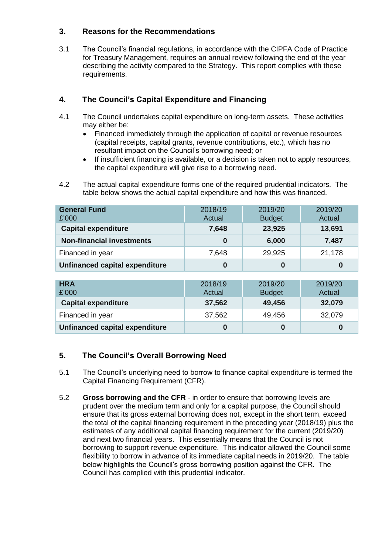#### **3. Reasons for the Recommendations**

3.1 The Council's financial regulations, in accordance with the CIPFA Code of Practice for Treasury Management, requires an annual review following the end of the year describing the activity compared to the Strategy. This report complies with these requirements.

## **4. The Council's Capital Expenditure and Financing**

- 4.1 The Council undertakes capital expenditure on long-term assets. These activities may either be:
	- Financed immediately through the application of capital or revenue resources (capital receipts, capital grants, revenue contributions, etc.), which has no resultant impact on the Council's borrowing need; or
	- If insufficient financing is available, or a decision is taken not to apply resources, the capital expenditure will give rise to a borrowing need.
- 4.2 The actual capital expenditure forms one of the required prudential indicators. The table below shows the actual capital expenditure and how this was financed.

| <b>General Fund</b><br>£'000     | 2018/19<br>Actual | 2019/20<br><b>Budget</b> | 2019/20<br>Actual |
|----------------------------------|-------------------|--------------------------|-------------------|
| <b>Capital expenditure</b>       | 7,648             | 23,925                   | 13,691            |
| <b>Non-financial investments</b> | 0                 | 6,000                    | 7,487             |
| Financed in year                 | 7,648             | 29,925                   | 21,178            |
| Unfinanced capital expenditure   |                   | 0                        |                   |

| <b>HRA</b><br>£'000            | 2018/19<br>Actual | 2019/20<br><b>Budget</b> | 2019/20<br>Actual |
|--------------------------------|-------------------|--------------------------|-------------------|
| <b>Capital expenditure</b>     | 37,562            | 49,456                   | 32,079            |
| Financed in year               | 37,562            | 49,456                   | 32,079            |
| Unfinanced capital expenditure | 0                 |                          | 0                 |

## **5. The Council's Overall Borrowing Need**

- 5.1 The Council's underlying need to borrow to finance capital expenditure is termed the Capital Financing Requirement (CFR).
- 5.2 **Gross borrowing and the CFR** in order to ensure that borrowing levels are prudent over the medium term and only for a capital purpose, the Council should ensure that its gross external borrowing does not, except in the short term, exceed the total of the capital financing requirement in the preceding year (2018/19) plus the estimates of any additional capital financing requirement for the current (2019/20) and next two financial years. This essentially means that the Council is not borrowing to support revenue expenditure. This indicator allowed the Council some flexibility to borrow in advance of its immediate capital needs in 2019/20. The table below highlights the Council's gross borrowing position against the CFR. The Council has complied with this prudential indicator.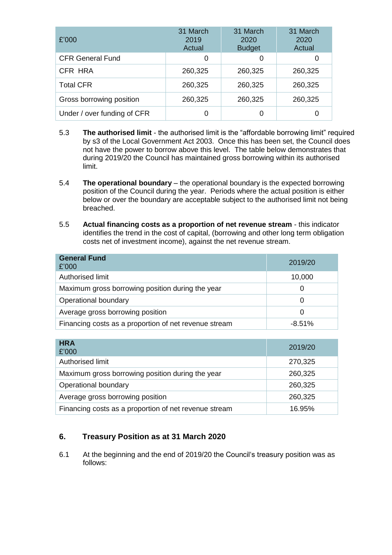| £'000                       | 31 March<br>2019<br>Actual | 31 March<br>2020<br><b>Budget</b> | 31 March<br>2020<br>Actual |
|-----------------------------|----------------------------|-----------------------------------|----------------------------|
| <b>CFR General Fund</b>     | 0                          | 0                                 |                            |
| CFR HRA                     | 260,325                    | 260,325                           | 260,325                    |
| <b>Total CFR</b>            | 260,325                    | 260,325                           | 260,325                    |
| Gross borrowing position    | 260,325                    | 260,325                           | 260,325                    |
| Under / over funding of CFR |                            |                                   |                            |

- 5.3 **The authorised limit**  the authorised limit is the "affordable borrowing limit" required by s3 of the Local Government Act 2003. Once this has been set, the Council does not have the power to borrow above this level. The table below demonstrates that during 2019/20 the Council has maintained gross borrowing within its authorised limit.
- 5.4 **The operational boundary**  the operational boundary is the expected borrowing position of the Council during the year. Periods where the actual position is either below or over the boundary are acceptable subject to the authorised limit not being breached.
- 5.5 **Actual financing costs as a proportion of net revenue stream**  this indicator identifies the trend in the cost of capital, (borrowing and other long term obligation costs net of investment income), against the net revenue stream.

| <b>General Fund</b><br>£'000                          | 2019/20   |
|-------------------------------------------------------|-----------|
| Authorised limit                                      | 10,000    |
| Maximum gross borrowing position during the year      |           |
| Operational boundary                                  |           |
| Average gross borrowing position                      |           |
| Financing costs as a proportion of net revenue stream | $-8.51\%$ |

| <b>HRA</b><br>£'000                                   | 2019/20 |
|-------------------------------------------------------|---------|
| Authorised limit                                      | 270,325 |
| Maximum gross borrowing position during the year      | 260,325 |
| Operational boundary                                  | 260,325 |
| Average gross borrowing position                      | 260,325 |
| Financing costs as a proportion of net revenue stream | 16.95%  |

## **6. Treasury Position as at 31 March 2020**

6.1 At the beginning and the end of 2019/20 the Council's treasury position was as follows: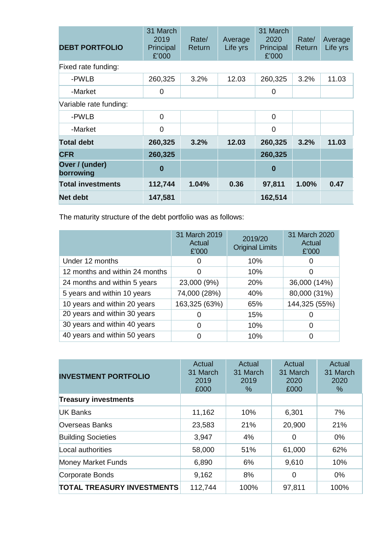| <b>DEBT PORTFOLIO</b>       | 31 March<br>2019<br>Principal<br>£'000 | Rate/<br>Return | Average<br>Life yrs | 31 March<br>2020<br>Principal<br>£'000 | Rate/<br>Return | Average<br>Life yrs |
|-----------------------------|----------------------------------------|-----------------|---------------------|----------------------------------------|-----------------|---------------------|
| Fixed rate funding:         |                                        |                 |                     |                                        |                 |                     |
| -PWLB                       | 260,325                                | 3.2%            | 12.03               | 260,325                                | 3.2%            | 11.03               |
| -Market                     | 0                                      |                 |                     | 0                                      |                 |                     |
| Variable rate funding:      |                                        |                 |                     |                                        |                 |                     |
| -PWLB                       | $\overline{0}$                         |                 |                     | $\overline{0}$                         |                 |                     |
| -Market                     | 0                                      |                 |                     | 0                                      |                 |                     |
| <b>Total debt</b>           | 260,325                                | 3.2%            | 12.03               | 260,325                                | 3.2%            | 11.03               |
| <b>CFR</b>                  | 260,325                                |                 |                     | 260,325                                |                 |                     |
| Over / (under)<br>borrowing | $\bf{0}$                               |                 |                     | $\bf{0}$                               |                 |                     |
| <b>Total investments</b>    | 112,744                                | 1.04%           | 0.36                | 97,811                                 | 1.00%           | 0.47                |
| Net debt                    | 147,581                                |                 |                     | 162,514                                |                 |                     |

The maturity structure of the debt portfolio was as follows:

|                                | 31 March 2019<br>Actual<br>£'000 | 2019/20<br><b>Original Limits</b> | 31 March 2020<br>Actual<br>£'000 |
|--------------------------------|----------------------------------|-----------------------------------|----------------------------------|
| Under 12 months                | O                                | 10%                               |                                  |
| 12 months and within 24 months | 0                                | 10%                               | 0                                |
| 24 months and within 5 years   | 23,000 (9%)                      | 20%                               | 36,000 (14%)                     |
| 5 years and within 10 years    | 74,000 (28%)                     | 40%                               | 80,000 (31%)                     |
| 10 years and within 20 years   | 163,325 (63%)                    | 65%                               | 144,325 (55%)                    |
| 20 years and within 30 years   | 0                                | 15%                               |                                  |
| 30 years and within 40 years   | 0                                | 10%                               | O                                |
| 40 years and within 50 years   | 0                                | 10%                               | 0                                |

| <b>INVESTMENT PORTFOLIO</b>       | Actual<br>31 March<br>2019<br>£000 | Actual<br>31 March<br>2019<br>$\%$ | Actual<br>31 March<br>2020<br>£000 | Actual<br>31 March<br>2020<br>% |
|-----------------------------------|------------------------------------|------------------------------------|------------------------------------|---------------------------------|
| <b>Treasury investments</b>       |                                    |                                    |                                    |                                 |
| <b>UK Banks</b>                   | 11,162                             | 10%                                | 6,301                              | 7%                              |
| <b>Overseas Banks</b>             | 23,583                             | 21%                                | 20,900                             | 21%                             |
| <b>Building Societies</b>         | 3,947                              | 4%                                 | 0                                  | $0\%$                           |
| Local authorities                 | 58,000                             | 51%                                | 61,000                             | 62%                             |
| <b>Money Market Funds</b>         | 6,890                              | 6%                                 | 9,610                              | 10%                             |
| Corporate Bonds                   | 9,162                              | 8%                                 | 0                                  | $0\%$                           |
| <b>TOTAL TREASURY INVESTMENTS</b> | 112,744                            | 100%                               | 97,811                             | 100%                            |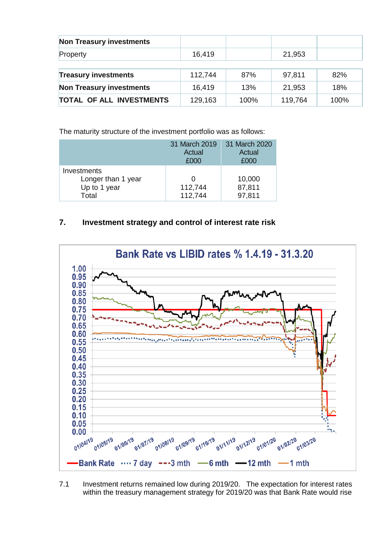| <b>Non Treasury investments</b> |         |      |         |      |
|---------------------------------|---------|------|---------|------|
| Property                        | 16,419  |      | 21,953  |      |
|                                 |         |      |         |      |
| <b>Treasury investments</b>     | 112,744 | 87%  | 97,811  | 82%  |
| <b>Non Treasury investments</b> | 16,419  | 13%  | 21,953  | 18%  |
| <b>TOTAL OF ALL INVESTMENTS</b> | 129,163 | 100% | 119,764 | 100% |

The maturity structure of the investment portfolio was as follows:

|                                                            | 31 March 2019<br>Actual<br>£000         | 31 March 2020<br>Actual<br>£000 |
|------------------------------------------------------------|-----------------------------------------|---------------------------------|
| Investments<br>Longer than 1 year<br>Up to 1 year<br>Total | $\mathbf{\Omega}$<br>112,744<br>112,744 | 10,000<br>87,811<br>97,811      |

## **7. Investment strategy and control of interest rate risk**



7.1 Investment returns remained low during 2019/20. The expectation for interest rates within the treasury management strategy for 2019/20 was that Bank Rate would rise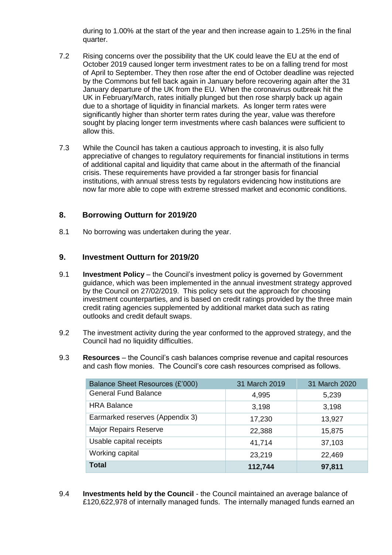during to 1.00% at the start of the year and then increase again to 1.25% in the final quarter.

- 7.2 Rising concerns over the possibility that the UK could leave the EU at the end of October 2019 caused longer term investment rates to be on a falling trend for most of April to September. They then rose after the end of October deadline was rejected by the Commons but fell back again in January before recovering again after the 31 January departure of the UK from the EU. When the coronavirus outbreak hit the UK in February/March, rates initially plunged but then rose sharply back up again due to a shortage of liquidity in financial markets. As longer term rates were significantly higher than shorter term rates during the year, value was therefore sought by placing longer term investments where cash balances were sufficient to allow this.
- 7.3 While the Council has taken a cautious approach to investing, it is also fully appreciative of changes to regulatory requirements for financial institutions in terms of additional capital and liquidity that came about in the aftermath of the financial crisis. These requirements have provided a far stronger basis for financial institutions, with annual stress tests by regulators evidencing how institutions are now far more able to cope with extreme stressed market and economic conditions.

#### **8. Borrowing Outturn for 2019/20**

8.1 No borrowing was undertaken during the year.

#### **9. Investment Outturn for 2019/20**

- 9.1 **Investment Policy** the Council's investment policy is governed by Government guidance, which was been implemented in the annual investment strategy approved by the Council on 27/02/2019. This policy sets out the approach for choosing investment counterparties, and is based on credit ratings provided by the three main credit rating agencies supplemented by additional market data such as rating outlooks and credit default swaps.
- 9.2 The investment activity during the year conformed to the approved strategy, and the Council had no liquidity difficulties.
- 9.3 **Resources** the Council's cash balances comprise revenue and capital resources and cash flow monies. The Council's core cash resources comprised as follows.

| Balance Sheet Resources (£'000) | 31 March 2019 | 31 March 2020 |
|---------------------------------|---------------|---------------|
| <b>General Fund Balance</b>     | 4,995         | 5,239         |
| <b>HRA Balance</b>              | 3,198         | 3,198         |
| Earmarked reserves (Appendix 3) | 17,230        | 13,927        |
| <b>Major Repairs Reserve</b>    | 22,388        | 15,875        |
| Usable capital receipts         | 41,714        | 37,103        |
| Working capital                 | 23,219        | 22,469        |
| <b>Total</b>                    | 112,744       | 97,811        |

9.4 **Investments held by the Council** - the Council maintained an average balance of £120,622,978 of internally managed funds. The internally managed funds earned an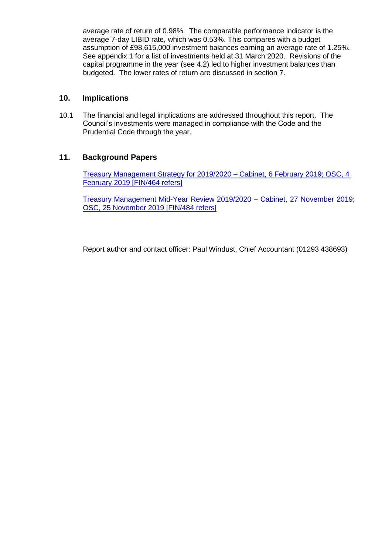average rate of return of 0.98%. The comparable performance indicator is the average 7-day LIBID rate, which was 0.53%. This compares with a budget assumption of £98,615,000 investment balances earning an average rate of 1.25%. See appendix 1 for a list of investments held at 31 March 2020. Revisions of the capital programme in the year (see 4.2) led to higher investment balances than budgeted. The lower rates of return are discussed in section 7.

#### **10. Implications**

10.1 The financial and legal implications are addressed throughout this report. The Council's investments were managed in compliance with the Code and the Prudential Code through the year.

## **11. Background Papers**

[Treasury Management Strategy for 2019/2020 –](https://democracy.crawley.gov.uk/documents/s10052/Treasury%20Management%20Strategy%2020192020.pdf) Cabinet, 6 February 2019; OSC, 4 [February 2019 \[FIN/464 refers\]](https://democracy.crawley.gov.uk/documents/s10052/Treasury%20Management%20Strategy%2020192020.pdf)

[Treasury Management Mid-Year Review 2019/2020](https://democracy.crawley.gov.uk/documents/s12231/Treasury%20Management%20Mid-Year%20Review%2020192020.pdf) – Cabinet, 27 November 2019; OSC, 25 [November 2019](https://democracy.crawley.gov.uk/documents/s12231/Treasury%20Management%20Mid-Year%20Review%2020192020.pdf) [FIN/484 refers]

Report author and contact officer: Paul Windust, Chief Accountant (01293 438693)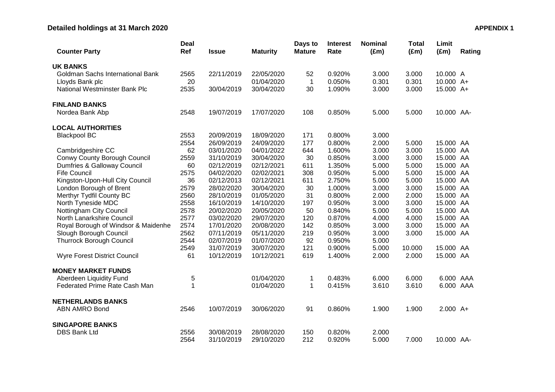# **Detailed holdings at 31 March 2020 APPENDIX 1**

| <b>Counter Party</b>                    | <b>Deal</b><br>Ref | <b>Issue</b> | <b>Maturity</b> | Days to<br><b>Mature</b> | <b>Interest</b><br>Rate | <b>Nominal</b><br>$(\text{Em})$ | <b>Total</b><br>$(\text{Em})$ | Limit<br>$(\text{Em})$ | Rating |
|-----------------------------------------|--------------------|--------------|-----------------|--------------------------|-------------------------|---------------------------------|-------------------------------|------------------------|--------|
| <b>UK BANKS</b>                         |                    |              |                 |                          |                         |                                 |                               |                        |        |
| <b>Goldman Sachs International Bank</b> | 2565               | 22/11/2019   | 22/05/2020      | 52                       | 0.920%                  | 3.000                           | 3.000                         | 10.000 A               |        |
| Lloyds Bank plc                         | 20                 |              | 01/04/2020      | 1                        | 0.050%                  | 0.301                           | 0.301                         | 10.000 A+              |        |
| <b>National Westminster Bank Plc</b>    | 2535               | 30/04/2019   | 30/04/2020      | 30                       | 1.090%                  | 3.000                           | 3.000                         | 15.000 A+              |        |
| <b>FINLAND BANKS</b>                    |                    |              |                 |                          |                         |                                 |                               |                        |        |
| Nordea Bank Abp                         | 2548               | 19/07/2019   | 17/07/2020      | 108                      | 0.850%                  | 5.000                           | 5.000                         | 10.000 AA-             |        |
| <b>LOCAL AUTHORITIES</b>                |                    |              |                 |                          |                         |                                 |                               |                        |        |
| <b>Blackpool BC</b>                     | 2553               | 20/09/2019   | 18/09/2020      | 171                      | 0.800%                  | 3.000                           |                               |                        |        |
|                                         | 2554               | 26/09/2019   | 24/09/2020      | 177                      | 0.800%                  | 2.000                           | 5.000                         | 15.000 AA              |        |
| Cambridgeshire CC                       | 62                 | 03/01/2020   | 04/01/2022      | 644                      | 1.600%                  | 3.000                           | 3.000                         | 15.000 AA              |        |
| Conwy County Borough Council            | 2559               | 31/10/2019   | 30/04/2020      | 30                       | 0.850%                  | 3.000                           | 3.000                         | 15.000 AA              |        |
| Dumfries & Galloway Council             | 60                 | 02/12/2019   | 02/12/2021      | 611                      | 1.350%                  | 5.000                           | 5.000                         | 15.000 AA              |        |
| <b>Fife Council</b>                     | 2575               | 04/02/2020   | 02/02/2021      | 308                      | 0.950%                  | 5.000                           | 5.000                         | 15.000 AA              |        |
| Kingston-Upon-Hull City Council         | 36                 | 02/12/2013   | 02/12/2021      | 611                      | 2.750%                  | 5.000                           | 5.000                         | 15.000 AA              |        |
| London Borough of Brent                 | 2579               | 28/02/2020   | 30/04/2020      | 30                       | 1.000%                  | 3.000                           | 3.000                         | 15.000 AA              |        |
| Merthyr Tydfil County BC                | 2560               | 28/10/2019   | 01/05/2020      | 31                       | 0.800%                  | 2.000                           | 2.000                         | 15.000 AA              |        |
| North Tyneside MDC                      | 2558               | 16/10/2019   | 14/10/2020      | 197                      | 0.950%                  | 3.000                           | 3.000                         | 15.000 AA              |        |
| Nottingham City Council                 | 2578               | 20/02/2020   | 20/05/2020      | 50                       | 0.840%                  | 5.000                           | 5.000                         | 15.000 AA              |        |
| North Lanarkshire Council               | 2577               | 03/02/2020   | 29/07/2020      | 120                      | 0.870%                  | 4.000                           | 4.000                         | 15.000 AA              |        |
| Royal Borough of Windsor & Maidenhe     | 2574               | 17/01/2020   | 20/08/2020      | 142                      | 0.850%                  | 3.000                           | 3.000                         | 15.000 AA              |        |
| Slough Borough Council                  | 2562               | 07/11/2019   | 05/11/2020      | 219                      | 0.950%                  | 3.000                           | 3.000                         | 15.000 AA              |        |
| <b>Thurrock Borough Council</b>         | 2544               | 02/07/2019   | 01/07/2020      | 92                       | 0.950%                  | 5.000                           |                               |                        |        |
|                                         | 2549               | 31/07/2019   | 30/07/2020      | 121                      | 0.900%                  | 5.000                           | 10.000                        | 15.000 AA              |        |
| <b>Wyre Forest District Council</b>     | 61                 | 10/12/2019   | 10/12/2021      | 619                      | 1.400%                  | 2.000                           | 2.000                         | 15.000 AA              |        |
| <b>MONEY MARKET FUNDS</b>               |                    |              |                 |                          |                         |                                 |                               |                        |        |
| Aberdeen Liquidity Fund                 | 5                  |              | 01/04/2020      | 1                        | 0.483%                  | 6.000                           | 6.000                         | 6.000 AAA              |        |
| Federated Prime Rate Cash Man           | $\mathbf 1$        |              | 01/04/2020      | $\mathbf{1}$             | 0.415%                  | 3.610                           | 3.610                         | 6.000 AAA              |        |
| <b>NETHERLANDS BANKS</b>                |                    |              |                 |                          |                         |                                 |                               |                        |        |
| <b>ABN AMRO Bond</b>                    | 2546               | 10/07/2019   | 30/06/2020      | 91                       | 0.860%                  | 1.900                           | 1.900                         | $2.000 A+$             |        |
| <b>SINGAPORE BANKS</b>                  |                    |              |                 |                          |                         |                                 |                               |                        |        |
| <b>DBS Bank Ltd</b>                     | 2556               | 30/08/2019   | 28/08/2020      | 150                      | 0.820%                  | 2.000                           |                               |                        |        |
|                                         | 2564               | 31/10/2019   | 29/10/2020      | 212                      | 0.920%                  | 5.000                           | 7.000                         | 10.000 AA-             |        |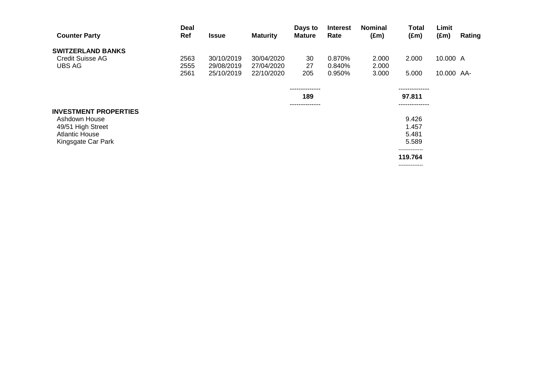| <b>Counter Party</b>         | Deal<br>Ref | <b>Issue</b> | <b>Maturity</b> | Days to<br><b>Mature</b> | <b>Interest</b><br>Rate | <b>Nominal</b><br>$(\text{Em})$ | Total<br>$(\text{Em})$   | Limit<br>$(\text{Em})$ | Rating |
|------------------------------|-------------|--------------|-----------------|--------------------------|-------------------------|---------------------------------|--------------------------|------------------------|--------|
| <b>SWITZERLAND BANKS</b>     |             |              |                 |                          |                         |                                 |                          |                        |        |
| <b>Credit Suisse AG</b>      | 2563        | 30/10/2019   | 30/04/2020      | 30                       | 0.870%                  | 2.000                           | 2.000                    | 10.000 A               |        |
| UBS AG                       | 2555        | 29/08/2019   | 27/04/2020      | 27                       | 0.840%                  | 2.000                           |                          |                        |        |
|                              | 2561        | 25/10/2019   | 22/10/2020      | 205                      | 0.950%                  | 3.000                           | 5.000                    | 10.000 AA-             |        |
|                              |             |              |                 | --------------           |                         |                                 | --------------           |                        |        |
|                              |             |              |                 | 189                      |                         |                                 | 97.811                   |                        |        |
| <b>INVESTMENT PROPERTIES</b> |             |              |                 | --------------           |                         |                                 |                          |                        |        |
| Ashdown House                |             |              |                 |                          |                         |                                 | 9.426                    |                        |        |
| 49/51 High Street            |             |              |                 |                          |                         |                                 | 1.457                    |                        |        |
| <b>Atlantic House</b>        |             |              |                 |                          |                         |                                 | 5.481                    |                        |        |
| Kingsgate Car Park           |             |              |                 |                          |                         |                                 | 5.589                    |                        |        |
|                              |             |              |                 |                          |                         |                                 | -------------<br>119.764 |                        |        |

--------------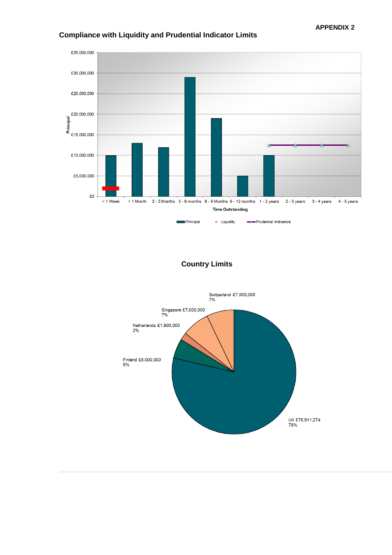

## **Compliance with Liquidity and Prudential Indicator Limits**

#### **Country Limits**

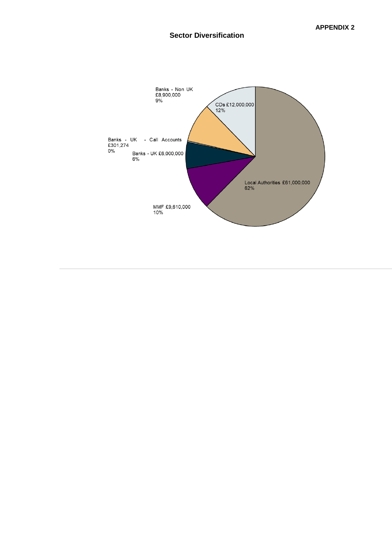#### **Sector Diversification**

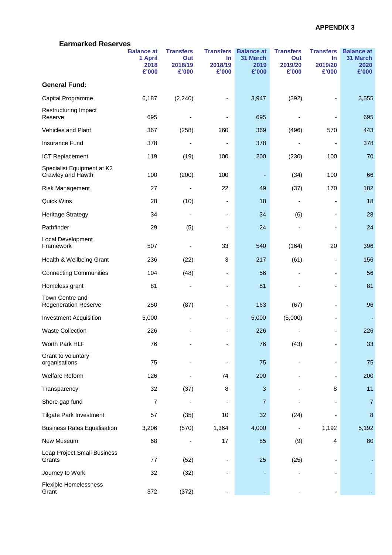| <b>Earmarked Reserves</b>                       |                                               |                                             |                                               |                                                |                                             |                                               |                                                |  |
|-------------------------------------------------|-----------------------------------------------|---------------------------------------------|-----------------------------------------------|------------------------------------------------|---------------------------------------------|-----------------------------------------------|------------------------------------------------|--|
|                                                 | <b>Balance at</b><br>1 April<br>2018<br>£'000 | <b>Transfers</b><br>Out<br>2018/19<br>£'000 | <b>Transfers</b><br>$\ln$<br>2018/19<br>£'000 | <b>Balance at</b><br>31 March<br>2019<br>£'000 | <b>Transfers</b><br>Out<br>2019/20<br>£'000 | <b>Transfers</b><br>$\ln$<br>2019/20<br>£'000 | <b>Balance at</b><br>31 March<br>2020<br>£'000 |  |
| <b>General Fund:</b>                            |                                               |                                             |                                               |                                                |                                             |                                               |                                                |  |
| Capital Programme                               | 6,187                                         | (2, 240)                                    |                                               | 3,947                                          | (392)                                       | -                                             | 3,555                                          |  |
| Restructuring Impact<br>Reserve                 | 695                                           |                                             |                                               | 695                                            |                                             |                                               | 695                                            |  |
| <b>Vehicles and Plant</b>                       | 367                                           | (258)                                       | 260                                           | 369                                            | (496)                                       | 570                                           | 443                                            |  |
| Insurance Fund                                  | 378                                           |                                             |                                               | 378                                            |                                             | $\qquad \qquad \blacksquare$                  | 378                                            |  |
| <b>ICT Replacement</b>                          | 119                                           | (19)                                        | 100                                           | 200                                            | (230)                                       | 100                                           | 70                                             |  |
| Specialist Equipment at K2<br>Crawley and Hawth | 100                                           | (200)                                       | 100                                           |                                                | (34)                                        | 100                                           | 66                                             |  |
| Risk Management                                 | 27                                            |                                             | 22                                            | 49                                             | (37)                                        | 170                                           | 182                                            |  |
| Quick Wins                                      | 28                                            | (10)                                        | ٠                                             | 18                                             |                                             | $\overline{\phantom{a}}$                      | 18                                             |  |
| <b>Heritage Strategy</b>                        | 34                                            | $\overline{\phantom{a}}$                    | ٠                                             | 34                                             | (6)                                         | $\overline{\phantom{a}}$                      | 28                                             |  |
| Pathfinder                                      | 29                                            | (5)                                         |                                               | 24                                             |                                             |                                               | 24                                             |  |
| Local Development<br>Framework                  | 507                                           |                                             | 33                                            | 540                                            | (164)                                       | 20                                            | 396                                            |  |
| Health & Wellbeing Grant                        | 236                                           | (22)                                        | 3                                             | 217                                            | (61)                                        | -                                             | 156                                            |  |
| <b>Connecting Communities</b>                   | 104                                           | (48)                                        | ä,                                            | 56                                             |                                             | $\overline{\phantom{a}}$                      | 56                                             |  |
| Homeless grant                                  | 81                                            | $\overline{\phantom{a}}$                    | -                                             | 81                                             |                                             | $\overline{\phantom{a}}$                      | 81                                             |  |
| Town Centre and<br><b>Regeneration Reserve</b>  | 250                                           | (87)                                        | ٠                                             | 163                                            | (67)                                        | ۰                                             | 96                                             |  |
| <b>Investment Acquisition</b>                   | 5,000                                         | ٠                                           |                                               | 5,000                                          | (5,000)                                     | ٠                                             |                                                |  |
| <b>Waste Collection</b>                         | 226                                           |                                             |                                               | 226                                            |                                             |                                               | 226                                            |  |
| Worth Park HLF                                  | 76                                            |                                             |                                               | 76                                             | (43)                                        |                                               | 33                                             |  |
| Grant to voluntary<br>organisations             | 75                                            |                                             |                                               | 75                                             |                                             |                                               | 75                                             |  |
| <b>Welfare Reform</b>                           | 126                                           |                                             | 74                                            | 200                                            |                                             |                                               | 200                                            |  |
| Transparency                                    | 32                                            | (37)                                        | 8                                             | 3                                              |                                             | 8                                             | 11                                             |  |
| Shore gap fund                                  | $\overline{7}$                                |                                             | $\overline{\phantom{a}}$                      | $\overline{7}$                                 |                                             |                                               | $\overline{7}$                                 |  |
| <b>Tilgate Park Investment</b>                  | 57                                            | (35)                                        | 10                                            | 32                                             | (24)                                        |                                               | 8                                              |  |
| <b>Business Rates Equalisation</b>              | 3,206                                         | (570)                                       | 1,364                                         | 4,000                                          |                                             | 1,192                                         | 5,192                                          |  |
| New Museum                                      | 68                                            |                                             | 17                                            | 85                                             | (9)                                         | 4                                             | 80                                             |  |
| Leap Project Small Business<br>Grants           | 77                                            | (52)                                        |                                               | 25                                             | (25)                                        | $\overline{\phantom{a}}$                      |                                                |  |
| Journey to Work                                 | 32                                            | (32)                                        |                                               |                                                |                                             |                                               |                                                |  |
| <b>Flexible Homelessness</b><br>Grant           | 372                                           | (372)                                       |                                               |                                                |                                             |                                               |                                                |  |